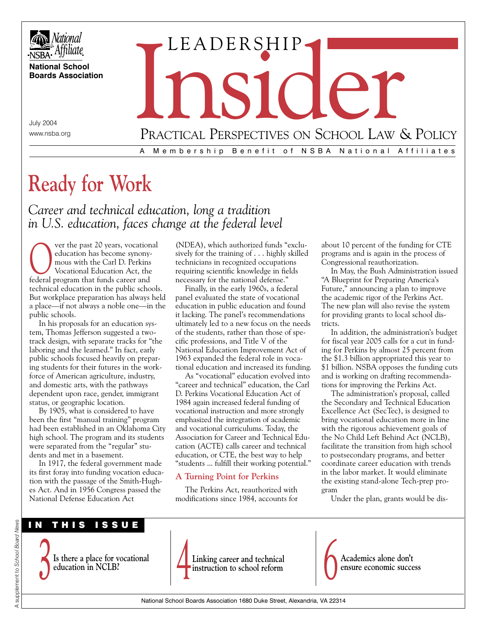

**National School Boards Association**

July 2004 www.nsba.org

# A Membership Benefit of NSBA National Affiliates PRACTICAL PERSPECTIVES ON SCHOOL LAW & POLICY

# **Ready for Work**

*Career and technical education, long a tradition in U.S. education, faces change at the federal level*

ver the past 20 years, vocational education has become synonymous with the Carl D. Perkins Vocational Education Act, the federal program that funds career and technical education in the public schools. But workplace preparation has always held a place—if not always a noble one—in the public schools.

In his proposals for an education system, Thomas Jefferson suggested a twotrack design, with separate tracks for "the laboring and the learned." In fact, early public schools focused heavily on preparing students for their futures in the workforce of American agriculture, industry, and domestic arts, with the pathways dependent upon race, gender, immigrant status, or geographic location.

By 1905, what is considered to have been the first "manual training" program had been established in an Oklahoma City high school. The program and its students were separated from the "regular" students and met in a basement.

In 1917, the federal government made its first foray into funding vocation education with the passage of the Smith-Hughes Act. And in 1956 Congress passed the National Defense Education Act

(NDEA), which authorized funds "exclusively for the training of . . . highly skilled technicians in recognized occupations requiring scientific knowledge in fields necessary for the national defense."

LEADERSHIP

Finally, in the early 1960s, a federal panel evaluated the state of vocational education in public education and found it lacking. The panel's recommendations ultimately led to a new focus on the needs of the students, rather than those of specific professions, and Title V of the National Education Improvement Act of 1963 expanded the federal role in vocational education and increased its funding.

As "vocational" education evolved into "career and technical" education, the Carl D. Perkins Vocational Education Act of 1984 again increased federal funding of vocational instruction and more strongly emphasized the integration of academic and vocational curriculums. Today, the Association for Career and Technical Education (ACTE) calls career and technical education, or CTE, the best way to help "students ... fulfill their working potential."

# **A Turning Point for Perkins**

The Perkins Act, reauthorized with modifications since 1984, accounts for about 10 percent of the funding for CTE programs and is again in the process of Congressional reauthorization.

In May, the Bush Administration issued "A Blueprint for Preparing America's Future," announcing a plan to improve the academic rigor of the Perkins Act. The new plan will also revise the system for providing grants to local school districts.

In addition, the administration's budget for fiscal year 2005 calls for a cut in funding for Perkins by almost 25 percent from the \$1.3 billion appropriated this year to \$1 billion. NSBA opposes the funding cuts and is working on drafting recommendations for improving the Perkins Act.

The administration's proposal, called the Secondary and Technical Education Excellence Act (SecTec), is designed to bring vocational education more in line with the rigorous achievement goals of the No Child Left Behind Act (NCLB), facilitate the transition from high school to postsecondary programs, and better coordinate career education with trends in the labor market. It would eliminate the existing stand-alone Tech-prep program

Under the plan, grants would be dis-







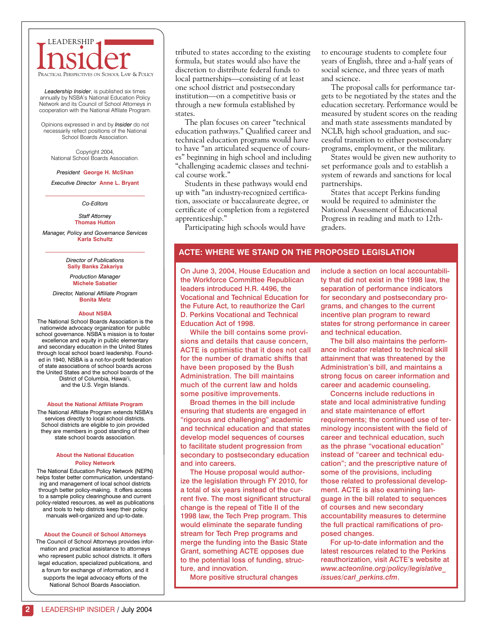# **INSIDERSHIP** LEADERSHIP

*Leadership Insider*, is published six times annually by NSBA's National Education Policy Network and its Council of School Attorneys in cooperation with the National Affilate Program.

Opinions expressed in and by *Insider* do not necessarily reflect positions of the National School Boards Association.

Copyright 2004, National School Boards Association.

#### *President* **George H. McShan**

*Executive Director* **Anne L. Bryant**

*Co-Editors*

*Staff Attorney*  **Thomas Hutton**

*Manager, Policy and Governance Services* **Karla Schultz**

> *Director of Publications*  **Sally Banks Zakariya**

*Production Manager*  **Michele Sabatier**

*Director, National Affiliate Program*  **Bonita Metz**

#### **About NSBA**

The National School Boards Association is the nationwide advocacy organization for public school governance. NSBA's mission is to foster excellence and equity in public elementary and secondary education in the United States through local school board leadership. Founded in 1940, NSBA is a not-for-profit federation of state associations of school boards across the United States and the school boards of the District of Columbia, Hawai'i, and the U.S. Virgin Islands.

**About the National Affiliate Program**

The National Affiliate Program extends NSBA's services directly to local school districts. School districts are eligible to join provided they are members in good standing of their state school boards association.

#### **About the National Education Policy Network**

The National Education Policy Network (NEPN) helps foster better communication, understanding and management of local school districts through better policy-making. It offers access to a sample policy clearinghouse and current policy-related resources, as well as publications and tools to help districts keep their policy manuals well-organized and up-to-date.

#### **About the Council of School Attorneys**

The Council of School Attorneys provides information and practical assistance to attorneys who represent public school districts. It offers legal education, specialized publications, and a forum for exchange of information, and it supports the legal advocacy efforts of the National School Boards Association.

tributed to states according to the existing formula, but states would also have the discretion to distribute federal funds to local partnerships—consisting of at least one school district and postsecondary institution—on a competitive basis or through a new formula established by states.

The plan focuses on career "technical education pathways." Qualified career and technical education programs would have to have "an articulated sequence of courses" beginning in high school and including "challenging academic classes and technical course work."

Students in these pathways would end up with "an industry-recognized certification, associate or baccalaureate degree, or certificate of completion from a registered apprenticeship."

Participating high schools would have

to encourage students to complete four years of English, three and a-half years of social science, and three years of math and science.

The proposal calls for performance targets to be negotiated by the states and the education secretary. Performance would be measured by student scores on the reading and math state assessments mandated by NCLB, high school graduation, and successful transition to either postsecondary programs, employment, or the military.

States would be given new authority to set performance goals and to establish a system of rewards and sanctions for local partnerships.

States that accept Perkins funding would be required to administer the National Assessment of Educational Progress in reading and math to 12thgraders.

## **ACTE: WHERE WE STAND ON THE PROPOSED LEGISLATION**

On June 3, 2004, House Education and the Workforce Committee Republican leaders introduced H.R. 4496, the Vocational and Technical Education for the Future Act, to reauthorize the Carl D. Perkins Vocational and Technical Education Act of 1998.

While the bill contains some provisions and details that cause concern, ACTE is optimistic that it does not call for the number of dramatic shifts that have been proposed by the Bush Administration. The bill maintains much of the current law and holds some positive improvements.

Broad themes in the bill include ensuring that students are engaged in "rigorous and challenging" academic and technical education and that states develop model sequences of courses to facilitate student progression from secondary to postsecondary education and into careers.

The House proposal would authorize the legislation through FY 2010, for a total of six years instead of the current five. The most significant structural change is the repeal of Title II of the 1998 law, the Tech Prep program. This would eliminate the separate funding stream for Tech Prep programs and merge the funding into the Basic State Grant, something ACTE opposes due to the potential loss of funding, structure, and innovation.

More positive structural changes

include a section on local accountability that did not exist in the 1998 law, the separation of performance indicators for secondary and postsecondary programs, and changes to the current incentive plan program to reward states for strong performance in career and technical education.

The bill also maintains the performance indicator related to technical skill attainment that was threatened by the Administration's bill, and maintains a strong focus on career information and career and academic counseling.

Concerns include reductions in state and local administrative funding and state maintenance of effort requirements; the continued use of terminology inconsistent with the field of career and technical education, such as the phrase "vocational education" instead of "career and technical education"; and the prescriptive nature of some of the provisions, including those related to professional development. ACTE is also examining language in the bill related to sequences of courses and new secondary accountability measures to determine the full practical ramifications of proposed changes.

For up-to-date information and the latest resources related to the Perkins reauthorization, visit ACTE's website at *www.acteonline.org/policy/legislative\_ issues/carl\_perkins.cfm*.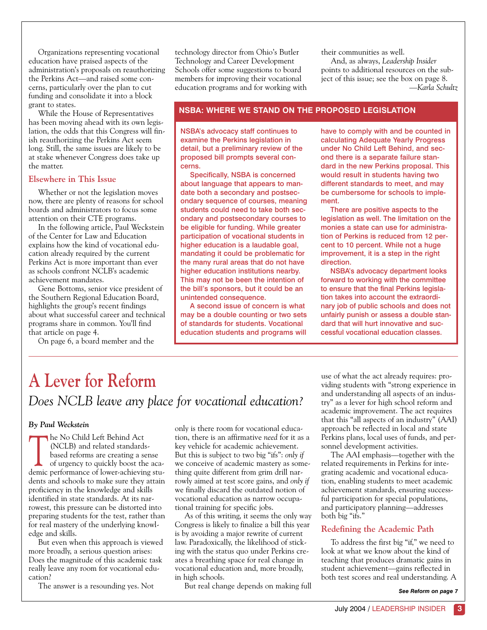Organizations representing vocational education have praised aspects of the administration's proposals on reauthorizing the Perkins Act—and raised some concerns, particularly over the plan to cut funding and consolidate it into a block grant to states.

While the House of Representatives has been moving ahead with its own legislation, the odds that this Congress will finish reauthorizing the Perkins Act seem long. Still, the same issues are likely to be at stake whenever Congress does take up the matter.

# **Elsewhere in This Issue**

Whether or not the legislation moves now, there are plenty of reasons for school boards and administrators to focus some attention on their CTE programs.

In the following article, Paul Weckstein of the Center for Law and Education explains how the kind of vocational education already required by the current Perkins Act is more important than ever as schools confront NCLB's academic achievement mandates.

Gene Bottoms, senior vice president of the Southern Regional Education Board, highlights the group's recent findings about what successful career and technical programs share in common. You'll find that article on page 4.

On page 6, a board member and the

technology director from Ohio's Butler Technology and Career Development Schools offer some suggestions to board members for improving their vocational education programs and for working with their communities as well.

And, as always, *Leadership Insider* points to additional resources on the subject of this issue; see the box on page 8. *—Karla Schultz* 

#### **NSBA: WHERE WE STAND ON THE PROPOSED LEGISLATION**

NSBA's advocacy staff continues to examine the Perkins legislation in detail, but a preliminary review of the proposed bill prompts several concerns.

Specifically, NSBA is concerned about language that appears to mandate both a secondary and postsecondary sequence of courses, meaning students could need to take both secondary and postsecondary courses to be eligible for funding. While greater participation of vocational students in higher education is a laudable goal, mandating it could be problematic for the many rural areas that do not have higher education institutions nearby. This may not be been the intention of the bill's sponsors, but it could be an unintended consequence.

A second issue of concern is what may be a double counting or two sets of standards for students. Vocational education students and programs will

have to comply with and be counted in calculating Adequate Yearly Progress under No Child Left Behind, and second there is a separate failure standard in the new Perkins proposal. This would result in students having two different standards to meet, and may be cumbersome for schools to implement.

There are positive aspects to the legislation as well. The limitation on the monies a state can use for administration of Perkins is reduced from 12 percent to 10 percent. While not a huge improvement, it is a step in the right direction.

NSBA's advocacy department looks forward to working with the committee to ensure that the final Perkins legislation takes into account the extraordinary job of public schools and does not unfairly punish or assess a double standard that will hurt innovative and successful vocational education classes.

# **A Lever for Reform** *Does NCLB leave any place for vocational education?*

#### *By Paul Weckstein*

The No Child Left Behind Act<br>
(NCLB) and related standards-<br>
based reforms are creating a sense<br>
of urgency to quickly boost the aca-<br>
demic performance of lower-achieving stud (NCLB) and related standardsbased reforms are creating a sense demic performance of lower-achieving students and schools to make sure they attain proficiency in the knowledge and skills identified in state standards. At its narrowest, this pressure can be distorted into preparing students for the test, rather than for real mastery of the underlying knowledge and skills.

But even when this approach is viewed more broadly, a serious question arises: Does the magnitude of this academic task really leave any room for vocational education?

The answer is a resounding yes. Not

only is there room for vocational education, there is an affirmative *need* for it as a key vehicle for academic achievement. But this is subject to two big "ifs": *only if* we conceive of academic mastery as something quite different from grim drill narrowly aimed at test score gains, and *only if* we finally discard the outdated notion of vocational education as narrow occupational training for specific jobs.

As of this writing, it seems the only way Congress is likely to finalize a bill this year is by avoiding a major rewrite of current law. Paradoxically, the likelihood of sticking with the status quo under Perkins creates a breathing space for real change in vocational education and, more broadly, in high schools.

But real change depends on making full

use of what the act already requires: providing students with "strong experience in and understanding all aspects of an industry" as a lever for high school reform and academic improvement. The act requires that this "all aspects of an industry" (AAI) approach be reflected in local and state Perkins plans, local uses of funds, and personnel development activities.

The AAI emphasis—together with the related requirements in Perkins for integrating academic and vocational education, enabling students to meet academic achievement standards, ensuring successful participation for special populations, and participatory planning—addresses both big "ifs."

# **Redefining the Academic Path**

To address the first big "if," we need to look at what we know about the kind of teaching that produces dramatic gains in student achievement—gains reflected in both test scores and real understanding. A

*See Reform on page 7*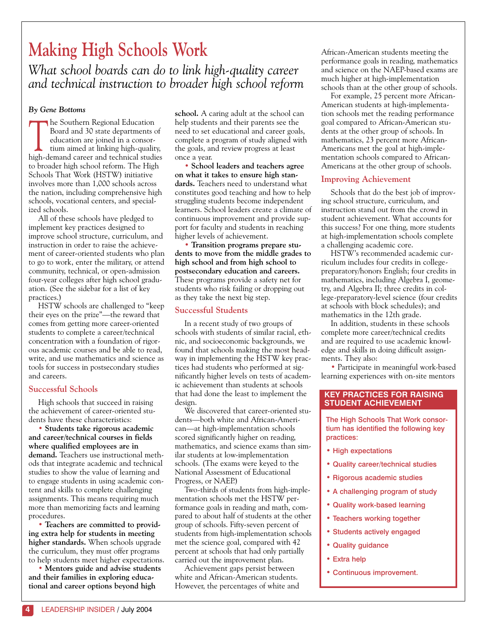# **Making High Schools Work**

*What school boards can do to link high-quality career and technical instruction to broader high school reform* 

# *By Gene Bottoms*

The Southern Regional Education<br>Board and 30 state departments<br>education are joined in a consor-<br>tium aimed at linking high-quality<br>high-demand career and technical stud Board and 30 state departments of education are joined in a consortium aimed at linking high-quality, high-demand career and technical studies to broader high school reform. The High Schools That Work (HSTW) initiative involves more than 1,000 schools across the nation, including comprehensive high schools, vocational centers, and specialized schools.

All of these schools have pledged to implement key practices designed to improve school structure, curriculum, and instruction in order to raise the achievement of career-oriented students who plan to go to work, enter the military, or attend community, technical, or open-admission four-year colleges after high school graduation. (See the sidebar for a list of key practices.)

HSTW schools are challenged to "keep their eyes on the prize"—the reward that comes from getting more career-oriented students to complete a career/technical concentration with a foundation of rigorous academic courses and be able to read, write, and use mathematics and science as tools for success in postsecondary studies and careers.

# **Successful Schools**

High schools that succeed in raising the achievement of career-oriented students have these characteristics:

• **Students take rigorous academic and career/technical courses in fields where qualified employees are in demand.** Teachers use instructional methods that integrate academic and technical studies to show the value of learning and to engage students in using academic content and skills to complete challenging assignments. This means requiring much more than memorizing facts and learning procedures.

• **Teachers are committed to providing extra help for students in meeting higher standards.** When schools upgrade the curriculum, they must offer programs to help students meet higher expectations.

• **Mentors guide and advise students and their families in exploring educational and career options beyond high**

**school.** A caring adult at the school can help students and their parents see the need to set educational and career goals, complete a program of study aligned with the goals, and review progress at least once a year.

• **School leaders and teachers agree on what it takes to ensure high standards.** Teachers need to understand what constitutes good teaching and how to help struggling students become independent learners. School leaders create a climate of continuous improvement and provide support for faculty and students in reaching higher levels of achievement.

• **Transition programs prepare students to move from the middle grades to high school and from high school to postsecondary education and careers.** These programs provide a safety net for students who risk failing or dropping out as they take the next big step.

# **Successful Students**

In a recent study of two groups of schools with students of similar racial, ethnic, and socioeconomic backgrounds, we found that schools making the most headway in implementing the HSTW key practices had students who performed at significantly higher levels on tests of academic achievement than students at schools that had done the least to implement the design.

We discovered that career-oriented students—both white and African-American—at high-implementation schools scored significantly higher on reading, mathematics, and science exams than similar students at low-implementation schools. (The exams were keyed to the National Assessment of Educational Progress, or NAEP.)

Two-thirds of students from high-implementation schools met the HSTW performance goals in reading and math, compared to about half of students at the other group of schools. Fifty-seven percent of students from high-implementation schools met the science goal, compared with 42 percent at schools that had only partially carried out the improvement plan.

Achievement gaps persist between white and African-American students. However, the percentages of white and African-American students meeting the performance goals in reading, mathematics and science on the NAEP-based exams are much higher at high-implementation schools than at the other group of schools.

For example, 25 percent more African-American students at high-implementation schools met the reading performance goal compared to African-American students at the other group of schools. In mathematics, 23 percent more African-Americans met the goal at high-implementation schools compared to African-Americans at the other group of schools.

# **Improving Achievement**

Schools that do the best job of improving school structure, curriculum, and instruction stand out from the crowd in student achievement. What accounts for this success? For one thing, more students at high-implementation schools complete a challenging academic core.

HSTW's recommended academic curriculum includes four credits in collegepreparatory/honors English; four credits in mathematics, including Algebra I, geometry, and Algebra II; three credits in college-preparatory-level science (four credits at schools with block schedules); and mathematics in the 12th grade.

In addition, students in these schools complete more career/technical credits and are required to use academic knowledge and skills in doing difficult assignments. They also:

• Participate in meaningful work-based learning experiences with on-site mentors

# **KEY PRACTICES FOR RAISING STUDENT ACHIEVEMENT**

The High Schools That Work consortium has identified the following key practices:

- High expectations
- Quality career/technical studies
- Rigorous academic studies
- A challenging program of study
- Quality work-based learning
- Teachers working together
- Students actively engaged
- Quality guidance
- Extra help
- Continuous improvement.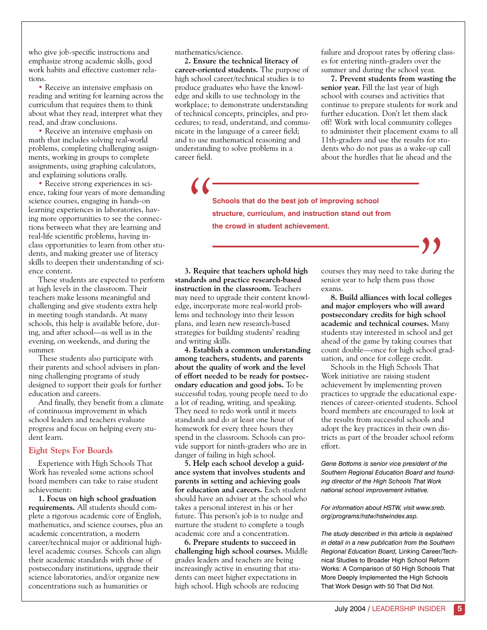who give job-specific instructions and emphasize strong academic skills, good work habits and effective customer relations.

• Receive an intensive emphasis on reading and writing for learning across the curriculum that requires them to think about what they read, interpret what they read, and draw conclusions.

• Receive an intensive emphasis on math that includes solving real-world problems, completing challenging assignments, working in groups to complete assignments, using graphing calculators, and explaining solutions orally.

• Receive strong experiences in science, taking four years of more demanding science courses, engaging in hands-on learning experiences in laboratories, having more opportunities to see the connections between what they are learning and real-life scientific problems, having inclass opportunities to learn from other students, and making greater use of literacy skills to deepen their understanding of science content.

These students are expected to perform at high levels in the classroom. Their teachers make lessons meaningful and challenging and give students extra help in meeting tough standards. At many schools, this help is available before, during, and after school—as well as in the evening, on weekends, and during the summer.

These students also participate with their parents and school advisers in planning challenging programs of study designed to support their goals for further education and careers.

And finally, they benefit from a climate of continuous improvement in which school leaders and teachers evaluate progress and focus on helping every student learn.

# **Eight Steps For Boards**

Experience with High Schools That Work has revealed some actions school board members can take to raise student achievement:

**1. Focus on high school graduation requirements.** All students should complete a rigorous academic core of English, mathematics, and science courses, plus an academic concentration, a modern career/technical major or additional highlevel academic courses. Schools can align their academic standards with those of postsecondary institutions, upgrade their science laboratories, and/or organize new concentrations such as humanities or

mathematics/science.

**2. Ensure the technical literacy of career-oriented students.** The purpose of high school career/technical studies is to produce graduates who have the knowledge and skills to use technology in the workplace; to demonstrate understanding of technical concepts, principles, and procedures; to read, understand, and communicate in the language of a career field; and to use mathematical reasoning and understanding to solve problems in a career field.

failure and dropout rates by offering classes for entering ninth-graders over the summer and during the school year.

**7. Prevent students from wasting the senior year.** Fill the last year of high school with courses and activities that continue to prepare students for work and further education. Don't let them slack off! Work with local community colleges to administer their placement exams to all 11th-graders and use the results for students who do not pass as a wake-up call about the hurdles that lie ahead and the

**Schools that do the best job of improving school structure, curriculum, and instruction stand out from**   $\sqrt{2}$ **the crowd in student achievement.**

**3. Require that teachers uphold high standards and practice research-based instruction in the classroom.** Teachers may need to upgrade their content knowledge, incorporate more real-world problems and technology into their lesson plans, and learn new research-based strategies for building students' reading and writing skills.

**4. Establish a common understanding among teachers, students, and parents about the quality of work and the level of effort needed to be ready for postsecondary education and good jobs.** To be successful today, young people need to do a lot of reading, writing, and speaking. They need to redo work until it meets standards and do at least one hour of homework for every three hours they spend in the classroom. Schools can provide support for ninth-graders who are in danger of failing in high school.

**5. Help each school develop a guidance system that involves students and parents in setting and achieving goals for education and careers.** Each student should have an adviser at the school who takes a personal interest in his or her future. This person's job is to nudge and nurture the student to complete a tough academic core and a concentration.

**6. Prepare students to succeed in challenging high school courses.** Middle grades leaders and teachers are being increasingly active in ensuring that students can meet higher expectations in high school. High schools are reducing

courses they may need to take during the senior year to help them pass those exams. **99**<br>Preduring<br>those<br>al colley

**8. Build alliances with local colleges and major employers who will award postsecondary credits for high school academic and technical courses.** Many students stay interested in school and get ahead of the game by taking courses that count double—once for high school graduation, and once for college credit.

Schools in the High Schools That Work initiative are raising student achievement by implementing proven practices to upgrade the educational experiences of career-oriented students. School board members are encouraged to look at the results from successful schools and adopt the key practices in their own districts as part of the broader school reform effort.

*Gene Bottoms is senior vice president of the Southern Regional Education Board and founding director of the High Schools That Work national school improvement initiative.* 

*For information about HSTW, visit www.sreb. org/programs/hstw/hstwindex.asp.*

*The study described in this article is explained in detail in a new publication from the Southern Regional Education Board,* Linking Career/Technical Studies to Broader High School Reform Works: A Comparison of 50 High Schools That More Deeply Implemented the High Schools That Work Design with 50 That Did Not.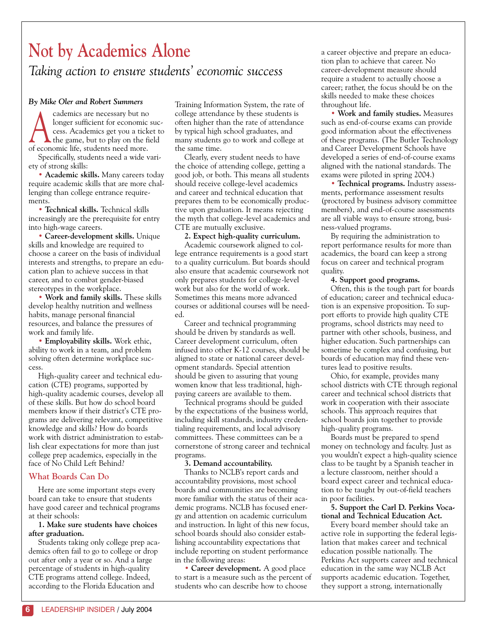# **Not by Academics Alone** *Taking action to ensure students' economic success*

## *By Mike Oler and Robert Summers*

reademics are necessary but no<br>longer sufficient for economic success. Academics get you a ticket t<br>the game, but to play on the field<br>of economic life, students need more longer sufficient for economic success. Academics get you a ticket to of economic life, students need more.

Specifically, students need a wide variety of strong skills:

• **Academic skills.** Many careers today require academic skills that are more challenging than college entrance requirements.

• **Technical skills.** Technical skills increasingly are the prerequisite for entry into high-wage careers.

• **Career-development skills.** Unique skills and knowledge are required to choose a career on the basis of individual interests and strengths, to prepare an education plan to achieve success in that career, and to combat gender-biased stereotypes in the workplace.

• **Work and family skills.** These skills develop healthy nutrition and wellness habits, manage personal financial resources, and balance the pressures of work and family life.

• **Employability skills.** Work ethic, ability to work in a team, and problem solving often determine workplace success.

High-quality career and technical education (CTE) programs, supported by high-quality academic courses, develop all of these skills. But how do school board members know if their district's CTE programs are delivering relevant, competitive knowledge and skills? How do boards work with district administration to establish clear expectations for more than just college prep academics, especially in the face of No Child Left Behind?

# **What Boards Can Do**

Here are some important steps every board can take to ensure that students have good career and technical programs at their schools:

## **1. Make sure students have choices after graduation.**

Students taking only college prep academics often fail to go to college or drop out after only a year or so. And a large percentage of students in high-quality CTE programs attend college. Indeed, according to the Florida Education and

Training Information System, the rate of college attendance by these students is often higher than the rate of attendance by typical high school graduates, and many students go to work and college at the same time.

Clearly, every student needs to have the choice of attending college, getting a good job, or both. This means all students should receive college-level academics and career and technical education that prepares them to be economically productive upon graduation. It means rejecting the myth that college-level academics and CTE are mutually exclusive.

#### **2. Expect high-quality curriculum.**

Academic coursework aligned to college entrance requirements is a good start to a quality curriculum. But boards should also ensure that academic coursework not only prepares students for college-level work but also for the world of work. Sometimes this means more advanced courses or additional courses will be needed.

Career and technical programming should be driven by standards as well. Career development curriculum, often infused into other K-12 courses, should be aligned to state or national career development standards. Special attention should be given to assuring that young women know that less traditional, highpaying careers are available to them.

Technical programs should be guided by the expectations of the business world, including skill standards, industry credentialing requirements, and local advisory committees. These committees can be a cornerstone of strong career and technical programs.

#### **3. Demand accountability.**

Thanks to NCLB's report cards and accountability provisions, most school boards and communities are becoming more familiar with the status of their academic programs. NCLB has focused energy and attention on academic curriculum and instruction. In light of this new focus, school boards should also consider establishing accountability expectations that include reporting on student performance in the following areas:

• **Career development.** A good place to start is a measure such as the percent of students who can describe how to choose

a career objective and prepare an education plan to achieve that career. No career-development measure should require a student to actually choose a career; rather, the focus should be on the skills needed to make these choices throughout life.

• **Work and family studies.** Measures such as end-of-course exams can provide good information about the effectiveness of these programs. (The Butler Technology and Career Development Schools have developed a series of end-of-course exams aligned with the national standards. The exams were piloted in spring 2004.)

• **Technical programs.** Industry assessments, performance assessment results (proctored by business advisory committee members), and end-of-course assessments are all viable ways to ensure strong, business-valued programs.

By requiring the administration to report performance results for more than academics, the board can keep a strong focus on career and technical program quality.

#### **4. Support good programs.**

Often, this is the tough part for boards of education; career and technical education is an expensive proposition. To support efforts to provide high quality CTE programs, school districts may need to partner with other schools, business, and higher education. Such partnerships can sometime be complex and confusing, but boards of education may find these ventures lead to positive results.

Ohio, for example, provides many school districts with CTE through regional career and technical school districts that work in cooperation with their associate schools. This approach requires that school boards join together to provide high-quality programs.

Boards must be prepared to spend money on technology and faculty. Just as you wouldn't expect a high-quality science class to be taught by a Spanish teacher in a lecture classroom, neither should a board expect career and technical education to be taught by out-of-field teachers in poor facilities.

#### **5. Support the Carl D. Perkins Vocational and Technical Education Act.**

Every board member should take an active role in supporting the federal legislation that makes career and technical education possible nationally. The Perkins Act supports career and technical education in the same way NCLB Act supports academic education. Together, they support a strong, internationally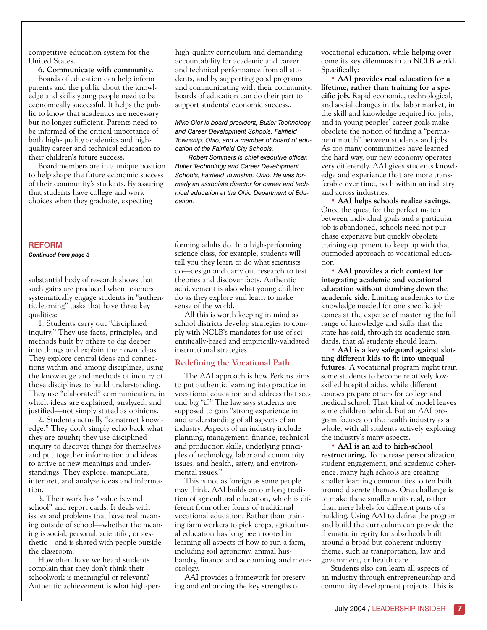competitive education system for the United States.

**6. Communicate with community.** Boards of education can help inform parents and the public about the knowledge and skills young people need to be economically successful. It helps the public to know that academics are necessary but no longer sufficient. Parents need to be informed of the critical importance of both high-quality academics and highquality career and technical education to their children's future success.

Board members are in a unique position to help shape the future economic success of their community's students. By assuring that students have college and work choices when they graduate, expecting

high-quality curriculum and demanding accountability for academic and career and technical performance from all students, and by supporting good programs and communicating with their community, boards of education can do their part to support students' economic success..

*Mike Oler is board president, Butler Technology and Career Development Schools, Fairfield Township, Ohio, and a member of board of education of the Fairfield City Schools.* 

*Robert Sommers is chief executive officer, Butler Technology and Career Development Schools, Fairfield Township, Ohio. He was formerly an associate director for career and technical education at the Ohio Department of Education.*

#### **REFORM** *Continued from page 3*

substantial body of research shows that such gains are produced when teachers systematically engage students in "authentic learning" tasks that have three key qualities:

1. Students carry out "disciplined inquiry." They use facts, principles, and methods built by others to dig deeper into things and explain their own ideas. They explore central ideas and connections within and among disciplines, using the knowledge and methods of inquiry of those disciplines to build understanding. They use "elaborated" communication, in which ideas are explained, analyzed, and justified—not simply stated as opinions.

2. Students actually "construct knowledge." They don't simply echo back what they are taught; they use disciplined inquiry to discover things for themselves and put together information and ideas to arrive at new meanings and understandings. They explore, manipulate, interpret, and analyze ideas and information.

3. Their work has "value beyond school" and report cards. It deals with issues and problems that have real meaning outside of school—whether the meaning is social, personal, scientific, or aesthetic—and is shared with people outside the classroom.

How often have we heard students complain that they don't think their schoolwork is meaningful or relevant? Authentic achievement is what high-per-

forming adults do. In a high-performing science class, for example, students will tell you they learn to do what scientists do—design and carry out research to test theories and discover facts. Authentic achievement is also what young children do as they explore and learn to make sense of the world.

All this is worth keeping in mind as school districts develop strategies to comply with NCLB's mandates for use of scientifically-based and empirically-validated instructional strategies.

## **Redefining the Vocational Path**

The AAI approach is how Perkins aims to put authentic learning into practice in vocational education and address that second big "if." The law says students are supposed to gain "strong experience in and understanding of all aspects of an industry. Aspects of an industry include planning, management, finance, technical and production skills, underlying principles of technology, labor and community issues, and health, safety, and environmental issues."

This is not as foreign as some people may think. AAI builds on our long tradition of agricultural education, which is different from other forms of traditional vocational education. Rather than training farm workers to pick crops, agricultural education has long been rooted in learning all aspects of how to run a farm, including soil agronomy, animal husbandry, finance and accounting, and meteorology.

AAI provides a framework for preserving and enhancing the key strengths of

vocational education, while helping overcome its key dilemmas in an NCLB world. Specifically:

• **AAI provides real education for a lifetime, rather than training for a specific job.** Rapid economic, technological, and social changes in the labor market, in the skill and knowledge required for jobs, and in young peoples' career goals make obsolete the notion of finding a "permanent match" between students and jobs. As too many communities have learned the hard way, our new economy operates very differently. AAI gives students knowledge and experience that are more transferable over time, both within an industry and across industries.

• **AAI helps schools realize savings.** Once the quest for the perfect match between individual goals and a particular job is abandoned, schools need not purchase expensive but quickly obsolete training equipment to keep up with that outmoded approach to vocational education.

• **AAI provides a rich context for integrating academic and vocational education without dumbing down the academic side.** Limiting academics to the knowledge needed for one specific job comes at the expense of mastering the full range of knowledge and skills that the state has said, through its academic standards, that *all* students should learn.

• **AAI is a key safeguard against slotting different kids to fit into unequal futures.** A vocational program might train some students to become relatively lowskilled hospital aides, while different courses prepare others for college and medical school. That kind of model leaves some children behind. But an AAI program focuses on the health industry as a whole, with all students actively exploring the industry's many aspects.

• **AAI is an aid to high-school restructuring.** To increase personalization, student engagement, and academic coherence, many high schools are creating smaller learning communities, often built around discrete themes. One challenge is to make these smaller units real, rather than mere labels for different parts of a building. Using AAI to define the program and build the curriculum can provide the thematic integrity for subschools built around a broad but coherent industry theme, such as transportation, law and government, or health care.

Students also can learn all aspects of an industry through entrepreneurship and community development projects. This is